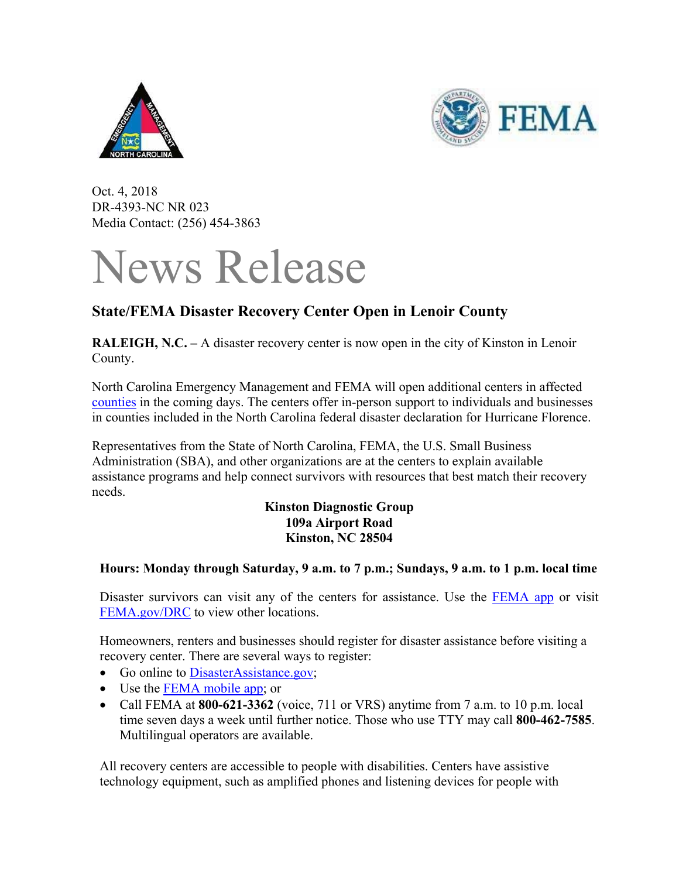



Oct. 4, 2018 DR-4393-NC NR 023 Media Contact: (256) 454-3863

## News Release

## **State/FEMA Disaster Recovery Center Open in Lenoir County**

**RALEIGH, N.C. –** A disaster recovery center is now open in the city of Kinston in Lenoir County.

North Carolina Emergency Management and FEMA will open additional centers in affected counties in the coming days. The centers offer in-person support to individuals and businesses in counties included in the North Carolina federal disaster declaration for Hurricane Florence.

Representatives from the State of North Carolina, FEMA, the U.S. Small Business Administration (SBA), and other organizations are at the centers to explain available assistance programs and help connect survivors with resources that best match their recovery needs.

> **Kinston Diagnostic Group 109a Airport Road Kinston, NC 28504**

## **Hours: Monday through Saturday, 9 a.m. to 7 p.m.; Sundays, 9 a.m. to 1 p.m. local time**

Disaster survivors can visit any of the centers for assistance. Use the FEMA app or visit FEMA.gov/DRC to view other locations.

Homeowners, renters and businesses should register for disaster assistance before visiting a recovery center. There are several ways to register:

- Go online to DisasterAssistance.gov;
- Use the FEMA mobile app; or
- Call FEMA at **800-621-3362** (voice, 711 or VRS) anytime from 7 a.m. to 10 p.m. local time seven days a week until further notice. Those who use TTY may call **800-462-7585**. Multilingual operators are available.

All recovery centers are accessible to people with disabilities. Centers have assistive technology equipment, such as amplified phones and listening devices for people with